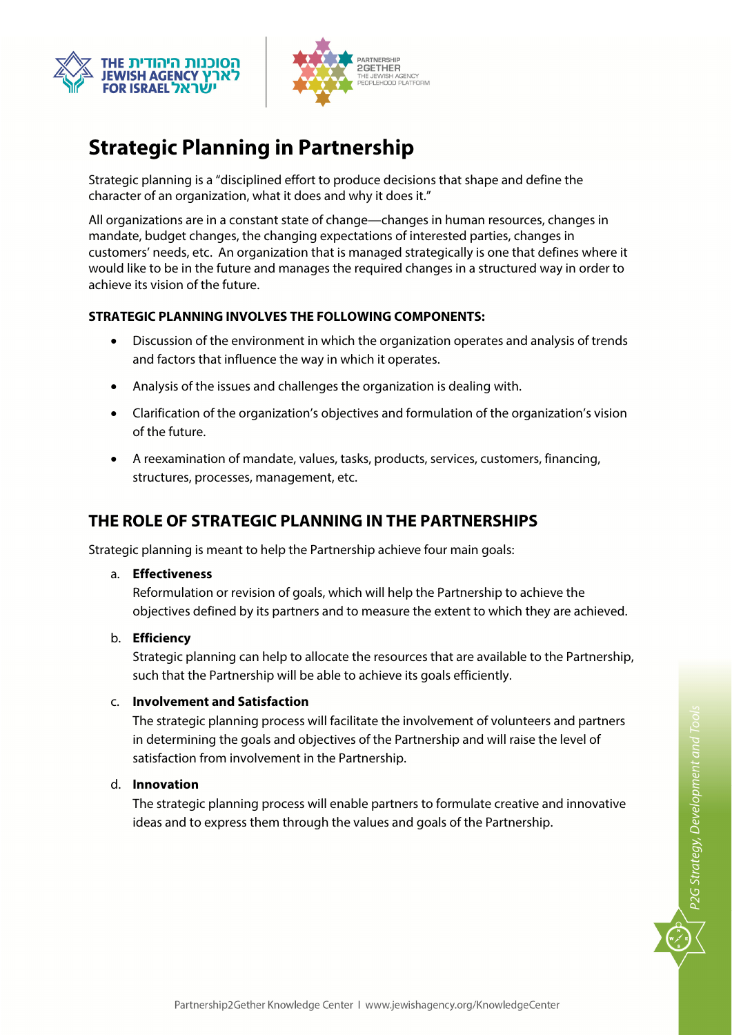



# **Strategic Planning in Partnership**

Strategic planning is a "disciplined effort to produce decisions that shape and define the character of an organization, what it does and why it does it."

All organizations are in a constant state of change—changes in human resources, changes in mandate, budget changes, the changing expectations of interested parties, changes in customers' needs, etc. An organization that is managed strategically is one that defines where it would like to be in the future and manages the required changes in a structured way in order to achieve its vision of the future.

### **STRATEGIC PLANNING INVOLVES THE FOLLOWING COMPONENTS:**

- Discussion of the environment in which the organization operates and analysis of trends and factors that influence the way in which it operates.
- Analysis of the issues and challenges the organization is dealing with.
- Clarification of the organization's objectives and formulation of the organization's vision of the future.
- A reexamination of mandate, values, tasks, products, services, customers, financing, structures, processes, management, etc.

## **THE ROLE OF STRATEGIC PLANNING IN THE PARTNERSHIPS**

Strategic planning is meant to help the Partnership achieve four main goals:

a. **Effectiveness**

Reformulation or revision of goals, which will help the Partnership to achieve the objectives defined by its partners and to measure the extent to which they are achieved.

b. **Efficiency** 

Strategic planning can help to allocate the resources that are available to the Partnership, such that the Partnership will be able to achieve its goals efficiently.

c. **Involvement and Satisfaction**

The strategic planning process will facilitate the involvement of volunteers and partners in determining the goals and objectives of the Partnership and will raise the level of satisfaction from involvement in the Partnership.

d. **Innovation**

The strategic planning process will enable partners to formulate creative and innovative ideas and to express them through the values and goals of the Partnership.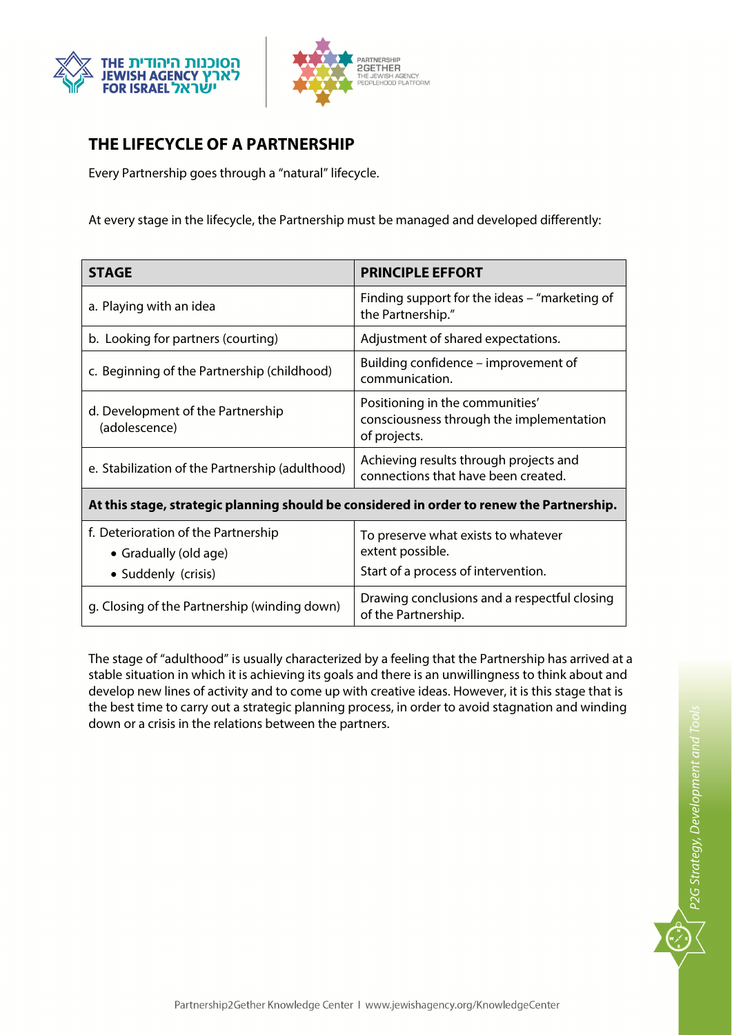



# **THE LIFECYCLE OF A PARTNERSHIP**

Every Partnership goes through a "natural" lifecycle.

At every stage in the lifecycle, the Partnership must be managed and developed differently:

| <b>STAGE</b>                                                                              | <b>PRINCIPLE EFFORT</b>                                                                        |
|-------------------------------------------------------------------------------------------|------------------------------------------------------------------------------------------------|
| a. Playing with an idea                                                                   | Finding support for the ideas – "marketing of<br>the Partnership."                             |
| b. Looking for partners (courting)                                                        | Adjustment of shared expectations.                                                             |
| c. Beginning of the Partnership (childhood)                                               | Building confidence – improvement of<br>communication.                                         |
| d. Development of the Partnership<br>(adolescence)                                        | Positioning in the communities'<br>consciousness through the implementation<br>of projects.    |
| e. Stabilization of the Partnership (adulthood)                                           | Achieving results through projects and<br>connections that have been created.                  |
| At this stage, strategic planning should be considered in order to renew the Partnership. |                                                                                                |
| f. Deterioration of the Partnership<br>• Gradually (old age)<br>• Suddenly (crisis)       | To preserve what exists to whatever<br>extent possible.<br>Start of a process of intervention. |
| g. Closing of the Partnership (winding down)                                              | Drawing conclusions and a respectful closing<br>of the Partnership.                            |

The stage of "adulthood" is usually characterized by a feeling that the Partnership has arrived at a stable situation in which it is achieving its goals and there is an unwillingness to think about and develop new lines of activity and to come up with creative ideas. However, it is this stage that is the best time to carry out a strategic planning process, in order to avoid stagnation and winding down or a crisis in the relations between the partners.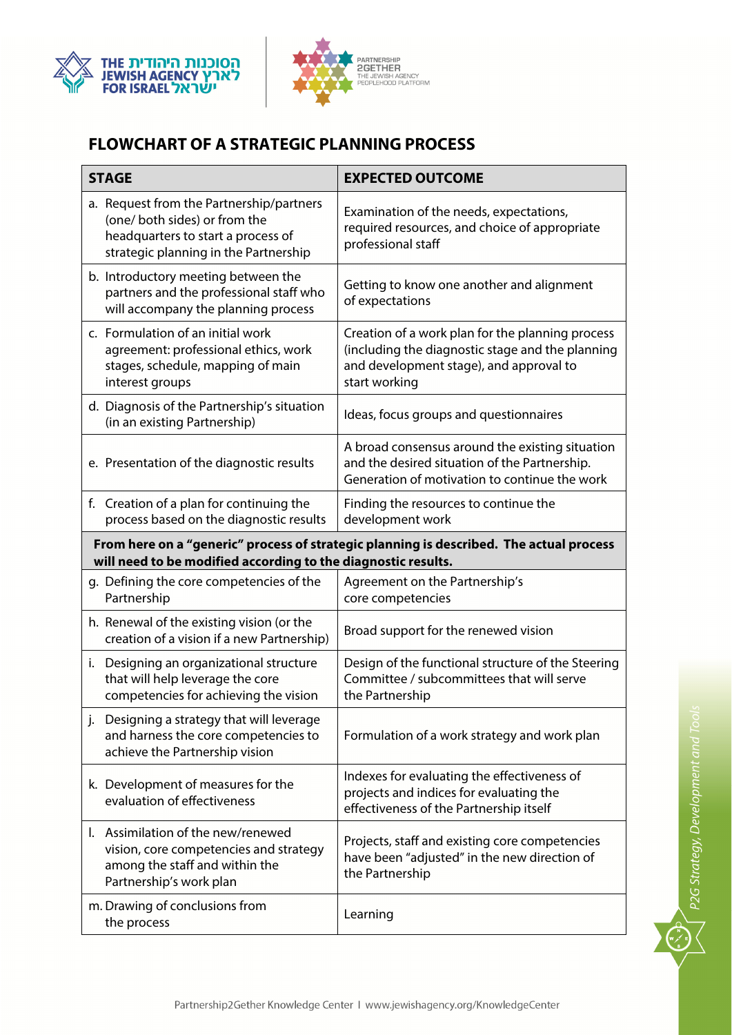



# **FLOWCHART OF A STRATEGIC PLANNING PROCESS**

| <b>STAGE</b>                                                                                                                                             | <b>EXPECTED OUTCOME</b>                                                                                                                                          |
|----------------------------------------------------------------------------------------------------------------------------------------------------------|------------------------------------------------------------------------------------------------------------------------------------------------------------------|
| a. Request from the Partnership/partners<br>(one/ both sides) or from the<br>headquarters to start a process of<br>strategic planning in the Partnership | Examination of the needs, expectations,<br>required resources, and choice of appropriate<br>professional staff                                                   |
| b. Introductory meeting between the<br>partners and the professional staff who<br>will accompany the planning process                                    | Getting to know one another and alignment<br>of expectations                                                                                                     |
| c. Formulation of an initial work<br>agreement: professional ethics, work<br>stages, schedule, mapping of main<br>interest groups                        | Creation of a work plan for the planning process<br>(including the diagnostic stage and the planning<br>and development stage), and approval to<br>start working |
| d. Diagnosis of the Partnership's situation<br>(in an existing Partnership)                                                                              | Ideas, focus groups and questionnaires                                                                                                                           |
| e. Presentation of the diagnostic results                                                                                                                | A broad consensus around the existing situation<br>and the desired situation of the Partnership.<br>Generation of motivation to continue the work                |
| f. Creation of a plan for continuing the<br>process based on the diagnostic results                                                                      | Finding the resources to continue the<br>development work                                                                                                        |
| From here on a "generic" process of strategic planning is described. The actual process<br>will need to be modified according to the diagnostic results. |                                                                                                                                                                  |
| g. Defining the core competencies of the<br>Partnership                                                                                                  | Agreement on the Partnership's<br>core competencies                                                                                                              |
| h. Renewal of the existing vision (or the<br>creation of a vision if a new Partnership)                                                                  | Broad support for the renewed vision                                                                                                                             |
| i. Designing an organizational structure<br>that will help leverage the core<br>competencies for achieving the vision                                    | Design of the functional structure of the Steering<br>Committee / subcommittees that will serve<br>the Partnership                                               |
| j. Designing a strategy that will leverage<br>and harness the core competencies to<br>achieve the Partnership vision                                     | Formulation of a work strategy and work plan                                                                                                                     |
| k. Development of measures for the<br>evaluation of effectiveness                                                                                        | Indexes for evaluating the effectiveness of<br>projects and indices for evaluating the<br>effectiveness of the Partnership itself                                |
| I. Assimilation of the new/renewed<br>vision, core competencies and strategy<br>among the staff and within the<br>Partnership's work plan                | Projects, staff and existing core competencies<br>have been "adjusted" in the new direction of<br>the Partnership                                                |
| m. Drawing of conclusions from<br>the process                                                                                                            | Learning                                                                                                                                                         |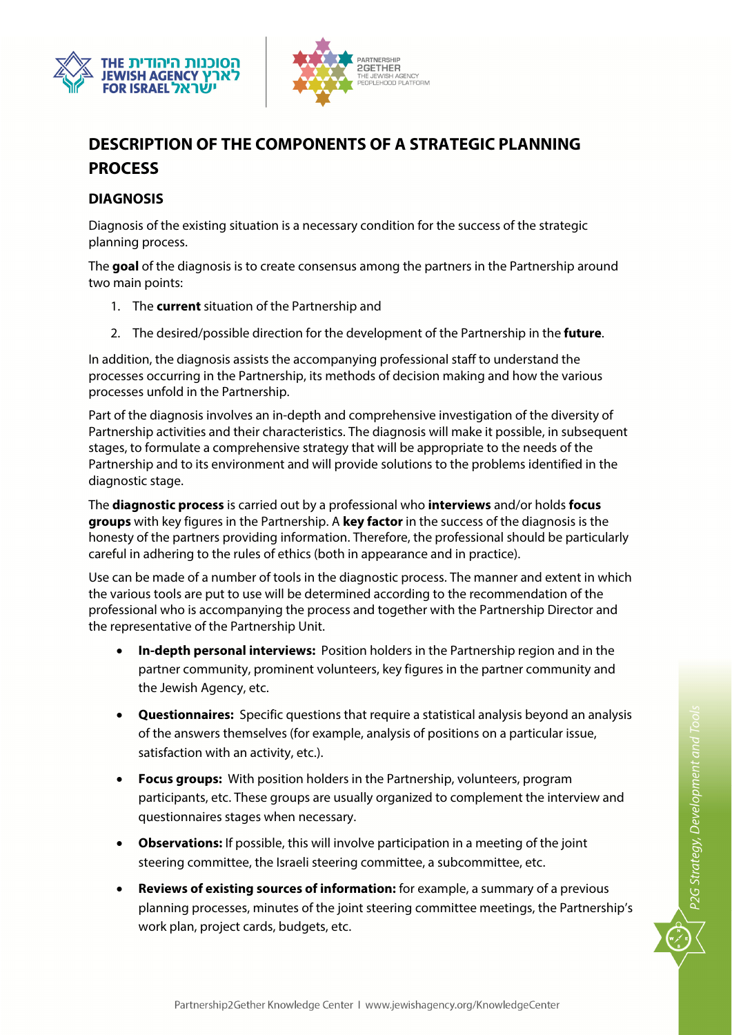



# **DESCRIPTION OF THE COMPONENTS OF A STRATEGIC PLANNING PROCESS**

### **DIAGNOSIS**

Diagnosis of the existing situation is a necessary condition for the success of the strategic planning process.

The **goal** of the diagnosis is to create consensus among the partners in the Partnership around two main points:

- 1. The **current** situation of the Partnership and
- 2. The desired/possible direction for the development of the Partnership in the **future**.

In addition, the diagnosis assists the accompanying professional staff to understand the processes occurring in the Partnership, its methods of decision making and how the various processes unfold in the Partnership.

Part of the diagnosis involves an in-depth and comprehensive investigation of the diversity of Partnership activities and their characteristics. The diagnosis will make it possible, in subsequent stages, to formulate a comprehensive strategy that will be appropriate to the needs of the Partnership and to its environment and will provide solutions to the problems identified in the diagnostic stage.

The **diagnostic process** is carried out by a professional who **interviews** and/or holds **focus groups** with key figures in the Partnership. A **key factor** in the success of the diagnosis is the honesty of the partners providing information. Therefore, the professional should be particularly careful in adhering to the rules of ethics (both in appearance and in practice).

Use can be made of a number of tools in the diagnostic process. The manner and extent in which the various tools are put to use will be determined according to the recommendation of the professional who is accompanying the process and together with the Partnership Director and the representative of the Partnership Unit.

- **In-depth personal interviews:** Position holders in the Partnership region and in the partner community, prominent volunteers, key figures in the partner community and the Jewish Agency, etc.
- **Questionnaires:** Specific questions that require a statistical analysis beyond an analysis of the answers themselves (for example, analysis of positions on a particular issue, satisfaction with an activity, etc.).
- **Focus groups:** With position holders in the Partnership, volunteers, program participants, etc. These groups are usually organized to complement the interview and questionnaires stages when necessary.
- **Observations:** If possible, this will involve participation in a meeting of the joint steering committee, the Israeli steering committee, a subcommittee, etc.
- **Reviews of existing sources of information:** for example, a summary of a previous planning processes, minutes of the joint steering committee meetings, the Partnership's work plan, project cards, budgets, etc.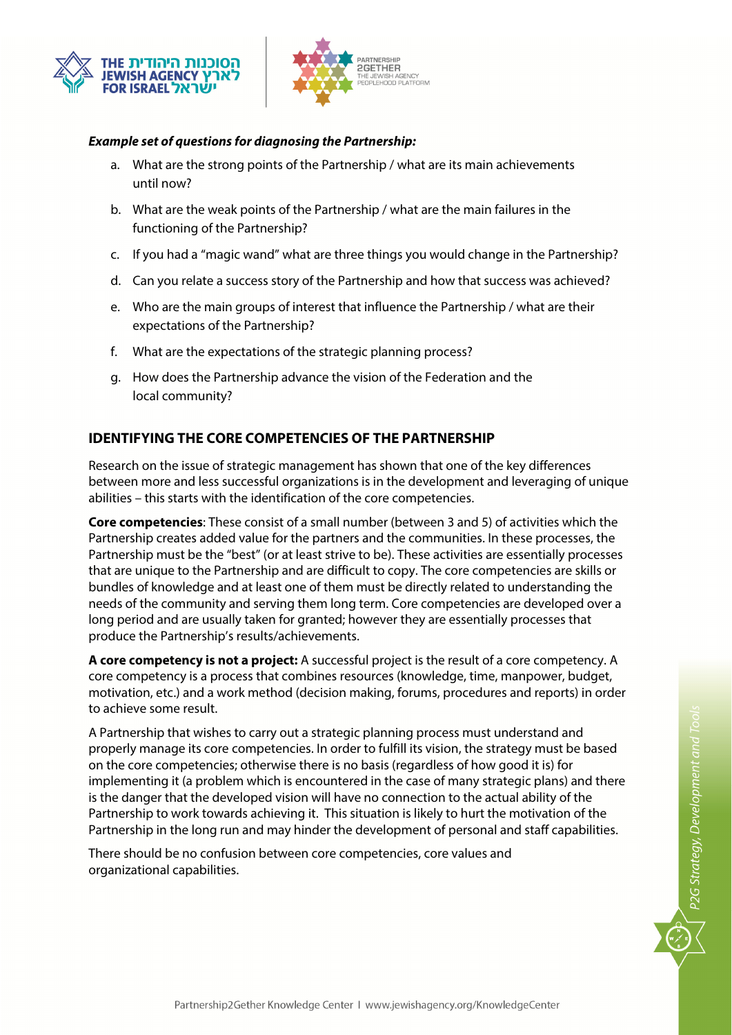



#### **Example set of questions for diagnosing the Partnership:**

- a. What are the strong points of the Partnership / what are its main achievements until now?
- b. What are the weak points of the Partnership / what are the main failures in the functioning of the Partnership?
- c. If you had a "magic wand" what are three things you would change in the Partnership?
- d. Can you relate a success story of the Partnership and how that success was achieved?
- e. Who are the main groups of interest that influence the Partnership / what are their expectations of the Partnership?
- f. What are the expectations of the strategic planning process?
- g. How does the Partnership advance the vision of the Federation and the local community?

### **IDENTIFYING THE CORE COMPETENCIES OF THE PARTNERSHIP**

Research on the issue of strategic management has shown that one of the key differences between more and less successful organizations is in the development and leveraging of unique abilities – this starts with the identification of the core competencies.

**Core competencies**: These consist of a small number (between 3 and 5) of activities which the Partnership creates added value for the partners and the communities. In these processes, the Partnership must be the "best" (or at least strive to be). These activities are essentially processes that are unique to the Partnership and are difficult to copy. The core competencies are skills or bundles of knowledge and at least one of them must be directly related to understanding the needs of the community and serving them long term. Core competencies are developed over a long period and are usually taken for granted; however they are essentially processes that produce the Partnership's results/achievements.

**A core competency is not a project:** A successful project is the result of a core competency. A core competency is a process that combines resources (knowledge, time, manpower, budget, motivation, etc.) and a work method (decision making, forums, procedures and reports) in order to achieve some result.

A Partnership that wishes to carry out a strategic planning process must understand and properly manage its core competencies. In order to fulfill its vision, the strategy must be based on the core competencies; otherwise there is no basis (regardless of how good it is) for implementing it (a problem which is encountered in the case of many strategic plans) and there is the danger that the developed vision will have no connection to the actual ability of the Partnership to work towards achieving it. This situation is likely to hurt the motivation of the Partnership in the long run and may hinder the development of personal and staff capabilities.

There should be no confusion between core competencies, core values and organizational capabilities.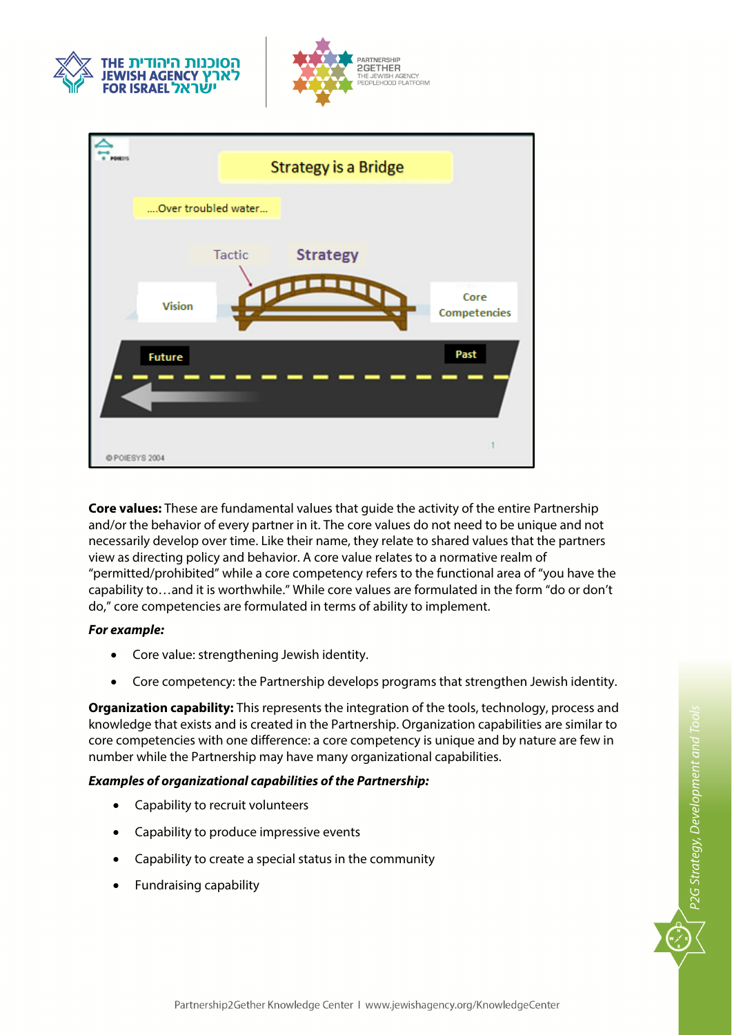





**Core values:** These are fundamental values that guide the activity of the entire Partnership and/or the behavior of every partner in it. The core values do not need to be unique and not necessarily develop over time. Like their name, they relate to shared values that the partners view as directing policy and behavior. A core value relates to a normative realm of "permitted/prohibited" while a core competency refers to the functional area of "you have the capability to…and it is worthwhile." While core values are formulated in the form "do or don't do," core competencies are formulated in terms of ability to implement.

#### **For example:**

- Core value: strengthening Jewish identity.
- Core competency: the Partnership develops programs that strengthen Jewish identity.

**Organization capability:** This represents the integration of the tools, technology, process and knowledge that exists and is created in the Partnership. Organization capabilities are similar to core competencies with one difference: a core competency is unique and by nature are few in number while the Partnership may have many organizational capabilities.

#### **Examples of organizational capabilities of the Partnership:**

- Capability to recruit volunteers
- Capability to produce impressive events
- Capability to create a special status in the community
- Fundraising capability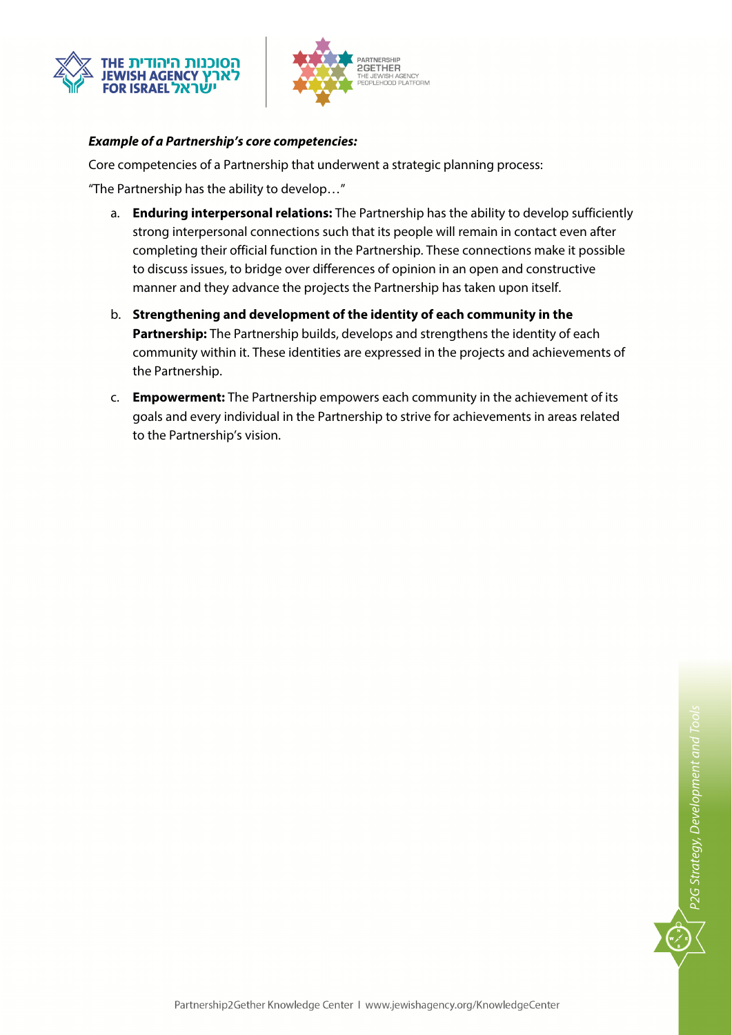



#### **Example of a Partnership's core competencies:**

Core competencies of a Partnership that underwent a strategic planning process:

"The Partnership has the ability to develop…"

- a. **Enduring interpersonal relations:** The Partnership has the ability to develop sufficiently strong interpersonal connections such that its people will remain in contact even after completing their official function in the Partnership. These connections make it possible to discuss issues, to bridge over differences of opinion in an open and constructive manner and they advance the projects the Partnership has taken upon itself.
- b. **Strengthening and development of the identity of each community in the Partnership:** The Partnership builds, develops and strengthens the identity of each community within it. These identities are expressed in the projects and achievements of the Partnership.
- c. **Empowerment:** The Partnership empowers each community in the achievement of its goals and every individual in the Partnership to strive for achievements in areas related to the Partnership's vision.